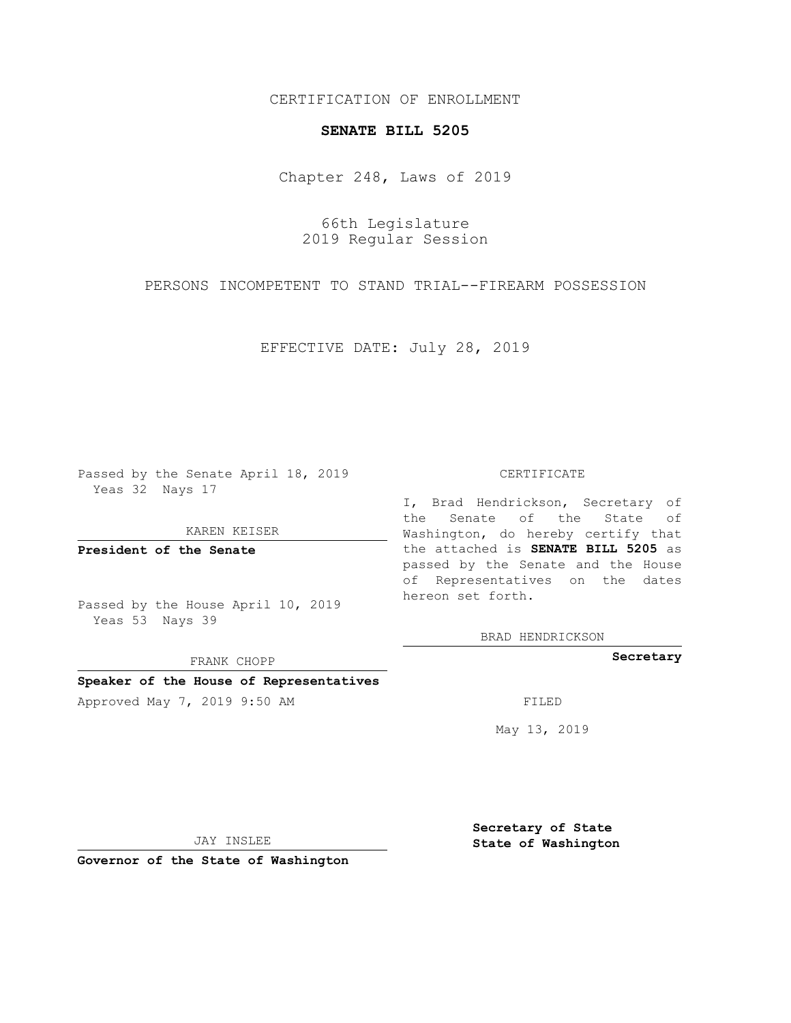## CERTIFICATION OF ENROLLMENT

## **SENATE BILL 5205**

Chapter 248, Laws of 2019

66th Legislature 2019 Regular Session

PERSONS INCOMPETENT TO STAND TRIAL--FIREARM POSSESSION

EFFECTIVE DATE: July 28, 2019

Passed by the Senate April 18, 2019 Yeas 32 Nays 17

KAREN KEISER

**President of the Senate**

Passed by the House April 10, 2019 Yeas 53 Nays 39

FRANK CHOPP

### **Speaker of the House of Representatives**

Approved May 7, 2019 9:50 AM FILED

#### CERTIFICATE

I, Brad Hendrickson, Secretary of the Senate of the State of Washington, do hereby certify that the attached is **SENATE BILL 5205** as passed by the Senate and the House of Representatives on the dates hereon set forth.

BRAD HENDRICKSON

**Secretary**

May 13, 2019

JAY INSLEE

**Governor of the State of Washington**

**Secretary of State State of Washington**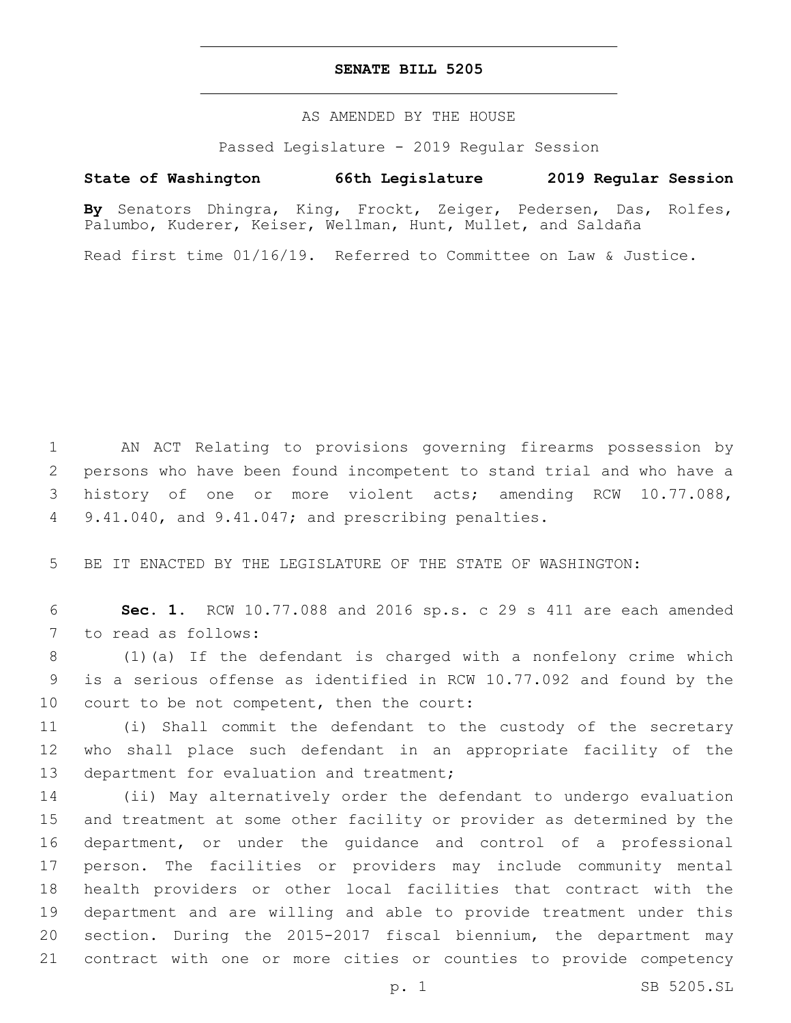## **SENATE BILL 5205**

AS AMENDED BY THE HOUSE

Passed Legislature - 2019 Regular Session

# **State of Washington 66th Legislature 2019 Regular Session**

**By** Senators Dhingra, King, Frockt, Zeiger, Pedersen, Das, Rolfes, Palumbo, Kuderer, Keiser, Wellman, Hunt, Mullet, and Saldaña

Read first time 01/16/19. Referred to Committee on Law & Justice.

1 AN ACT Relating to provisions governing firearms possession by 2 persons who have been found incompetent to stand trial and who have a 3 history of one or more violent acts; amending RCW 10.77.088, 4 9.41.040, and 9.41.047; and prescribing penalties.

5 BE IT ENACTED BY THE LEGISLATURE OF THE STATE OF WASHINGTON:

6 **Sec. 1.** RCW 10.77.088 and 2016 sp.s. c 29 s 411 are each amended 7 to read as follows:

8 (1)(a) If the defendant is charged with a nonfelony crime which 9 is a serious offense as identified in RCW 10.77.092 and found by the 10 court to be not competent, then the court:

11 (i) Shall commit the defendant to the custody of the secretary 12 who shall place such defendant in an appropriate facility of the 13 department for evaluation and treatment;

 (ii) May alternatively order the defendant to undergo evaluation and treatment at some other facility or provider as determined by the department, or under the guidance and control of a professional person. The facilities or providers may include community mental health providers or other local facilities that contract with the department and are willing and able to provide treatment under this section. During the 2015-2017 fiscal biennium, the department may contract with one or more cities or counties to provide competency

p. 1 SB 5205.SL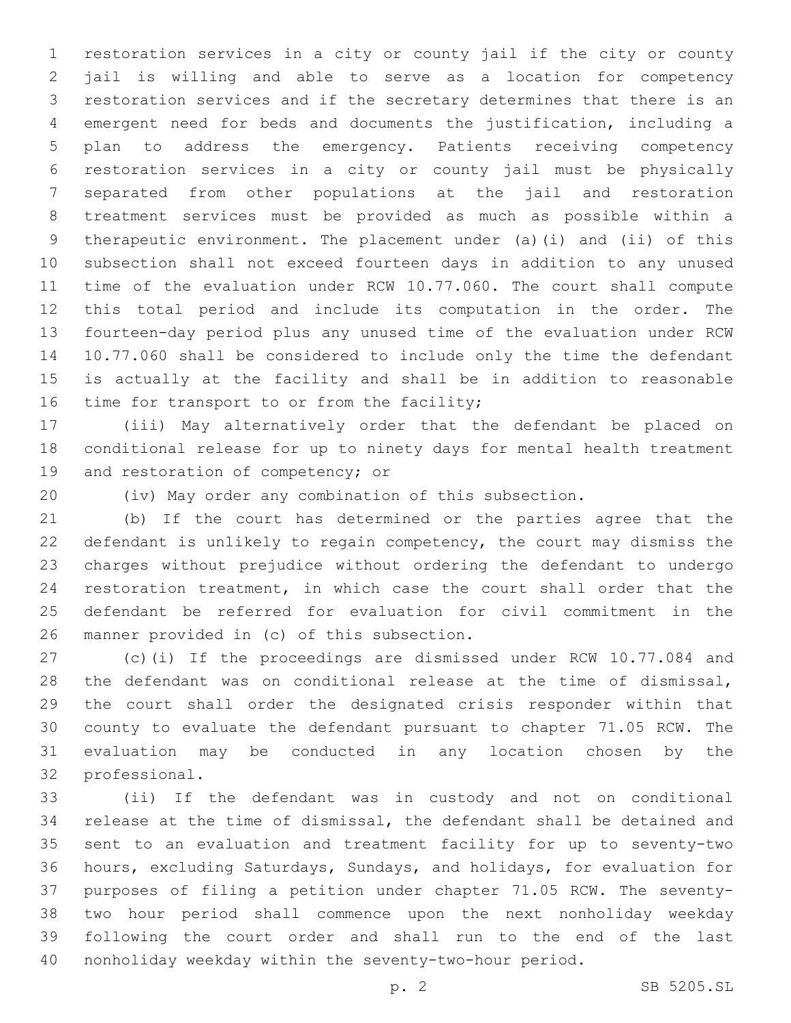restoration services in a city or county jail if the city or county jail is willing and able to serve as a location for competency restoration services and if the secretary determines that there is an emergent need for beds and documents the justification, including a plan to address the emergency. Patients receiving competency restoration services in a city or county jail must be physically separated from other populations at the jail and restoration treatment services must be provided as much as possible within a therapeutic environment. The placement under (a)(i) and (ii) of this subsection shall not exceed fourteen days in addition to any unused time of the evaluation under RCW 10.77.060. The court shall compute this total period and include its computation in the order. The fourteen-day period plus any unused time of the evaluation under RCW 10.77.060 shall be considered to include only the time the defendant is actually at the facility and shall be in addition to reasonable 16 time for transport to or from the facility;

 (iii) May alternatively order that the defendant be placed on conditional release for up to ninety days for mental health treatment 19 and restoration of competency; or

(iv) May order any combination of this subsection.

 (b) If the court has determined or the parties agree that the defendant is unlikely to regain competency, the court may dismiss the charges without prejudice without ordering the defendant to undergo restoration treatment, in which case the court shall order that the defendant be referred for evaluation for civil commitment in the 26 manner provided in (c) of this subsection.

 (c)(i) If the proceedings are dismissed under RCW 10.77.084 and the defendant was on conditional release at the time of dismissal, the court shall order the designated crisis responder within that county to evaluate the defendant pursuant to chapter 71.05 RCW. The evaluation may be conducted in any location chosen by the 32 professional.

 (ii) If the defendant was in custody and not on conditional release at the time of dismissal, the defendant shall be detained and sent to an evaluation and treatment facility for up to seventy-two hours, excluding Saturdays, Sundays, and holidays, for evaluation for purposes of filing a petition under chapter 71.05 RCW. The seventy- two hour period shall commence upon the next nonholiday weekday following the court order and shall run to the end of the last nonholiday weekday within the seventy-two-hour period.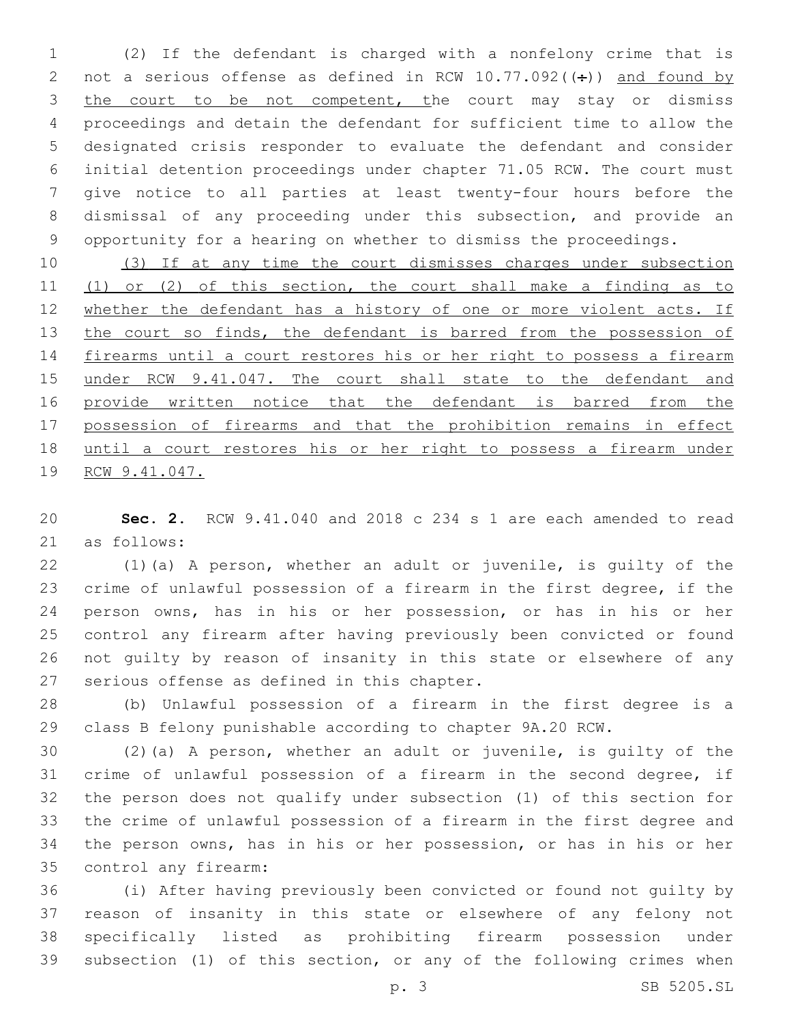(2) If the defendant is charged with a nonfelony crime that is 2 not a serious offense as defined in RCW  $10.77.092$  (( $\div$ )) and found by 3 the court to be not competent, the court may stay or dismiss proceedings and detain the defendant for sufficient time to allow the designated crisis responder to evaluate the defendant and consider initial detention proceedings under chapter 71.05 RCW. The court must give notice to all parties at least twenty-four hours before the dismissal of any proceeding under this subsection, and provide an opportunity for a hearing on whether to dismiss the proceedings.

 (3) If at any time the court dismisses charges under subsection (1) or (2) of this section, the court shall make a finding as to 12 whether the defendant has a history of one or more violent acts. If 13 the court so finds, the defendant is barred from the possession of firearms until a court restores his or her right to possess a firearm under RCW 9.41.047. The court shall state to the defendant and 16 provide written notice that the defendant is barred from the possession of firearms and that the prohibition remains in effect until a court restores his or her right to possess a firearm under RCW 9.41.047.

 **Sec. 2.** RCW 9.41.040 and 2018 c 234 s 1 are each amended to read 21 as follows:

 (1)(a) A person, whether an adult or juvenile, is guilty of the crime of unlawful possession of a firearm in the first degree, if the person owns, has in his or her possession, or has in his or her control any firearm after having previously been convicted or found not guilty by reason of insanity in this state or elsewhere of any 27 serious offense as defined in this chapter.

 (b) Unlawful possession of a firearm in the first degree is a class B felony punishable according to chapter 9A.20 RCW.

 (2)(a) A person, whether an adult or juvenile, is guilty of the crime of unlawful possession of a firearm in the second degree, if the person does not qualify under subsection (1) of this section for the crime of unlawful possession of a firearm in the first degree and the person owns, has in his or her possession, or has in his or her control any firearm:35

 (i) After having previously been convicted or found not guilty by reason of insanity in this state or elsewhere of any felony not specifically listed as prohibiting firearm possession under subsection (1) of this section, or any of the following crimes when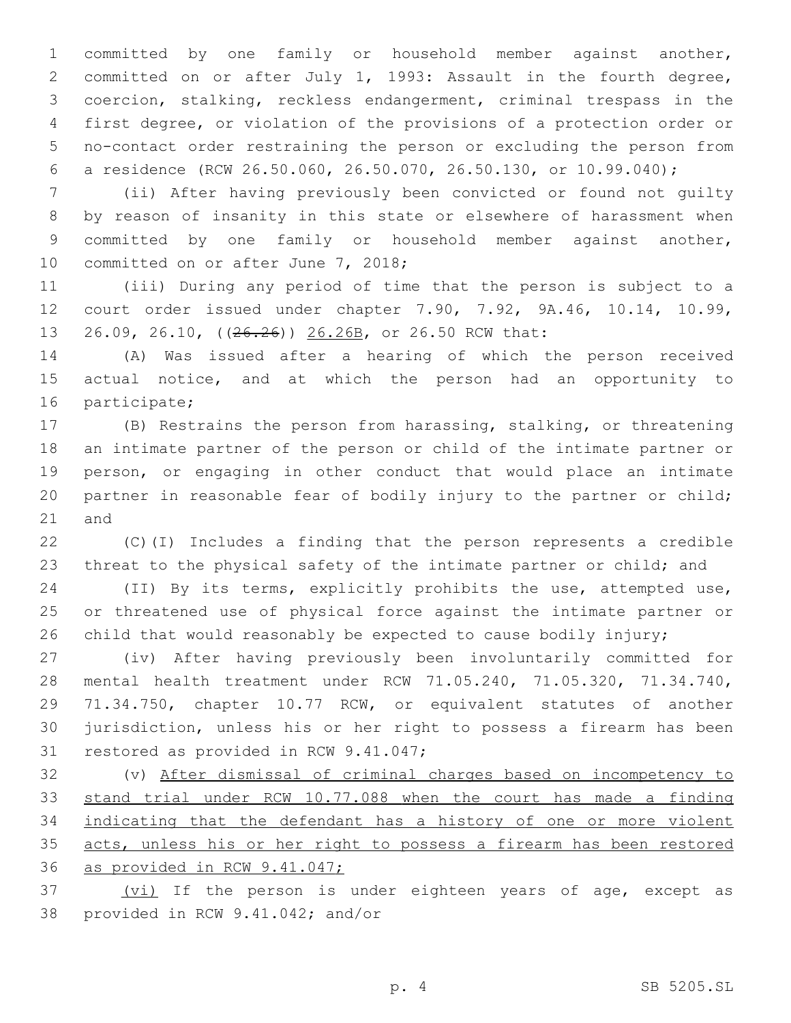committed by one family or household member against another, committed on or after July 1, 1993: Assault in the fourth degree, coercion, stalking, reckless endangerment, criminal trespass in the first degree, or violation of the provisions of a protection order or no-contact order restraining the person or excluding the person from a residence (RCW 26.50.060, 26.50.070, 26.50.130, or 10.99.040);

 (ii) After having previously been convicted or found not guilty by reason of insanity in this state or elsewhere of harassment when committed by one family or household member against another, 10 committed on or after June 7, 2018;

 (iii) During any period of time that the person is subject to a court order issued under chapter 7.90, 7.92, 9A.46, 10.14, 10.99, 26.09, 26.10, ((26.26)) 26.26B, or 26.50 RCW that:

 (A) Was issued after a hearing of which the person received actual notice, and at which the person had an opportunity to 16 participate;

 (B) Restrains the person from harassing, stalking, or threatening an intimate partner of the person or child of the intimate partner or person, or engaging in other conduct that would place an intimate partner in reasonable fear of bodily injury to the partner or child; 21 and

 (C)(I) Includes a finding that the person represents a credible threat to the physical safety of the intimate partner or child; and

 (II) By its terms, explicitly prohibits the use, attempted use, or threatened use of physical force against the intimate partner or child that would reasonably be expected to cause bodily injury;

 (iv) After having previously been involuntarily committed for mental health treatment under RCW 71.05.240, 71.05.320, 71.34.740, 71.34.750, chapter 10.77 RCW, or equivalent statutes of another jurisdiction, unless his or her right to possess a firearm has been 31 restored as provided in RCW 9.41.047;

 (v) After dismissal of criminal charges based on incompetency to stand trial under RCW 10.77.088 when the court has made a finding indicating that the defendant has a history of one or more violent acts, unless his or her right to possess a firearm has been restored as provided in RCW 9.41.047;

37 (vi) If the person is under eighteen years of age, except as 38 provided in RCW 9.41.042; and/or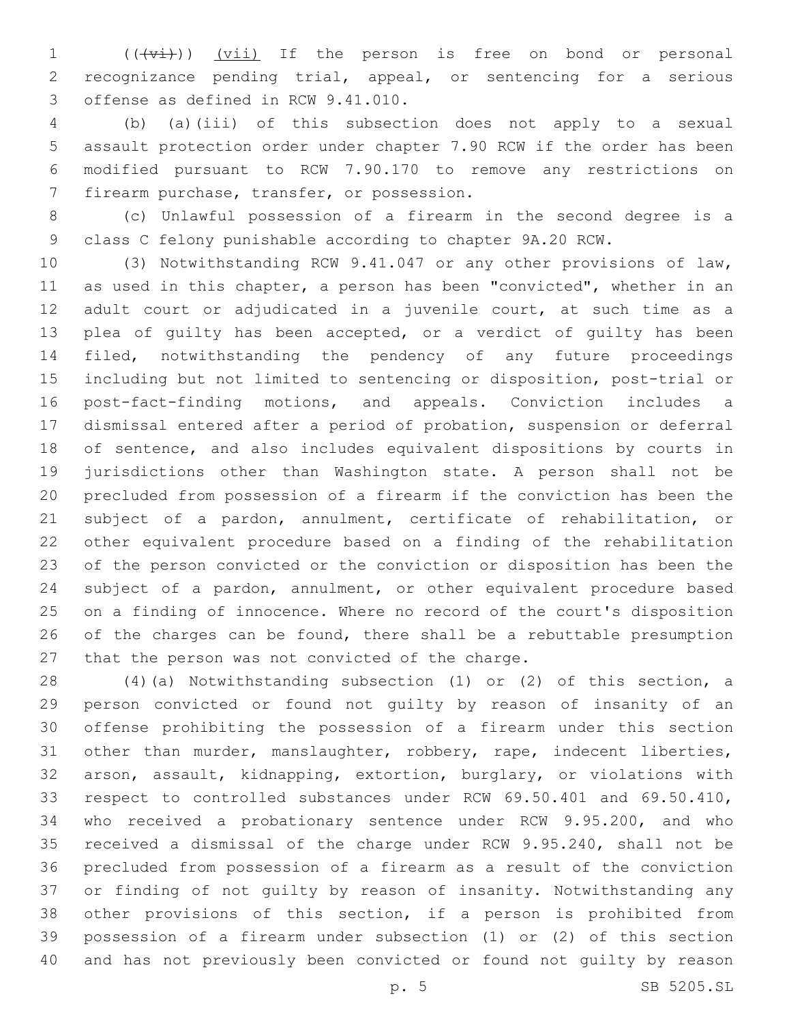1 (((vi)) (vii) If the person is free on bond or personal recognizance pending trial, appeal, or sentencing for a serious 3 offense as defined in RCW 9.41.010.

 (b) (a)(iii) of this subsection does not apply to a sexual assault protection order under chapter 7.90 RCW if the order has been modified pursuant to RCW 7.90.170 to remove any restrictions on 7 firearm purchase, transfer, or possession.

 (c) Unlawful possession of a firearm in the second degree is a class C felony punishable according to chapter 9A.20 RCW.

 (3) Notwithstanding RCW 9.41.047 or any other provisions of law, as used in this chapter, a person has been "convicted", whether in an adult court or adjudicated in a juvenile court, at such time as a plea of guilty has been accepted, or a verdict of guilty has been filed, notwithstanding the pendency of any future proceedings including but not limited to sentencing or disposition, post-trial or post-fact-finding motions, and appeals. Conviction includes a dismissal entered after a period of probation, suspension or deferral of sentence, and also includes equivalent dispositions by courts in jurisdictions other than Washington state. A person shall not be precluded from possession of a firearm if the conviction has been the subject of a pardon, annulment, certificate of rehabilitation, or other equivalent procedure based on a finding of the rehabilitation of the person convicted or the conviction or disposition has been the subject of a pardon, annulment, or other equivalent procedure based on a finding of innocence. Where no record of the court's disposition of the charges can be found, there shall be a rebuttable presumption 27 that the person was not convicted of the charge.

 (4)(a) Notwithstanding subsection (1) or (2) of this section, a person convicted or found not guilty by reason of insanity of an offense prohibiting the possession of a firearm under this section other than murder, manslaughter, robbery, rape, indecent liberties, arson, assault, kidnapping, extortion, burglary, or violations with respect to controlled substances under RCW 69.50.401 and 69.50.410, who received a probationary sentence under RCW 9.95.200, and who received a dismissal of the charge under RCW 9.95.240, shall not be precluded from possession of a firearm as a result of the conviction or finding of not guilty by reason of insanity. Notwithstanding any other provisions of this section, if a person is prohibited from possession of a firearm under subsection (1) or (2) of this section and has not previously been convicted or found not guilty by reason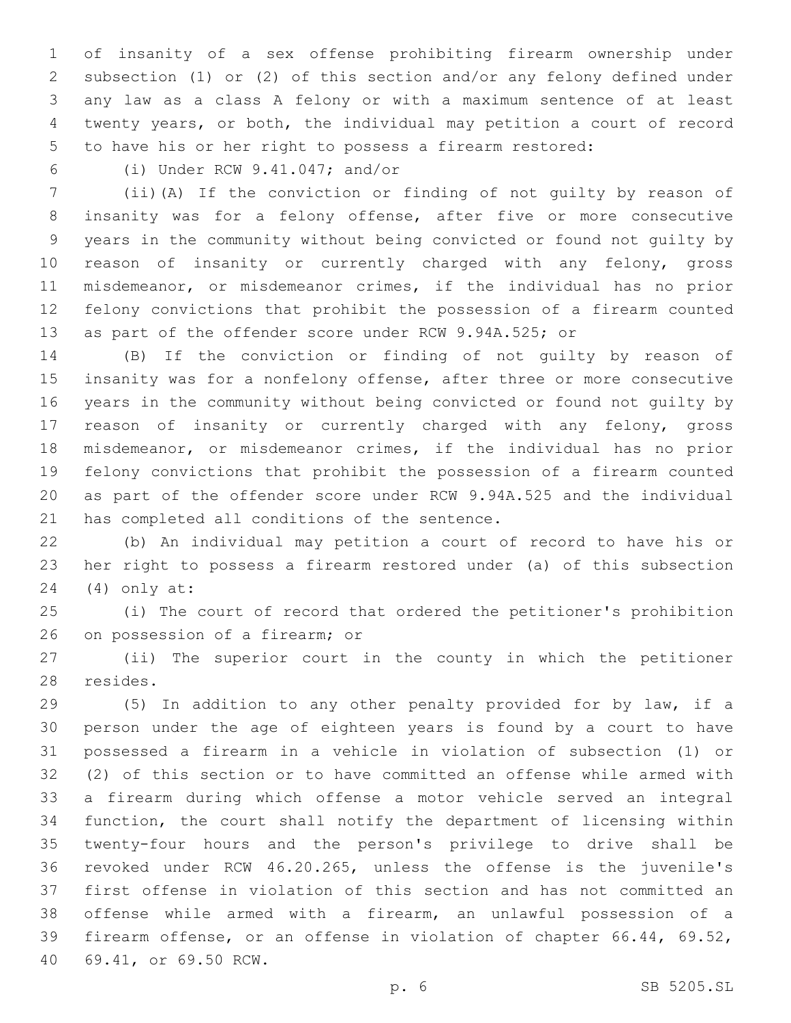of insanity of a sex offense prohibiting firearm ownership under subsection (1) or (2) of this section and/or any felony defined under any law as a class A felony or with a maximum sentence of at least twenty years, or both, the individual may petition a court of record to have his or her right to possess a firearm restored:

(i) Under RCW 9.41.047; and/or6

 (ii)(A) If the conviction or finding of not guilty by reason of insanity was for a felony offense, after five or more consecutive years in the community without being convicted or found not guilty by reason of insanity or currently charged with any felony, gross misdemeanor, or misdemeanor crimes, if the individual has no prior felony convictions that prohibit the possession of a firearm counted as part of the offender score under RCW 9.94A.525; or

 (B) If the conviction or finding of not guilty by reason of insanity was for a nonfelony offense, after three or more consecutive years in the community without being convicted or found not guilty by reason of insanity or currently charged with any felony, gross misdemeanor, or misdemeanor crimes, if the individual has no prior felony convictions that prohibit the possession of a firearm counted as part of the offender score under RCW 9.94A.525 and the individual 21 has completed all conditions of the sentence.

 (b) An individual may petition a court of record to have his or her right to possess a firearm restored under (a) of this subsection (4) only at:24

 (i) The court of record that ordered the petitioner's prohibition 26 on possession of a firearm; or

 (ii) The superior court in the county in which the petitioner 28 resides.

 (5) In addition to any other penalty provided for by law, if a person under the age of eighteen years is found by a court to have possessed a firearm in a vehicle in violation of subsection (1) or (2) of this section or to have committed an offense while armed with a firearm during which offense a motor vehicle served an integral function, the court shall notify the department of licensing within twenty-four hours and the person's privilege to drive shall be revoked under RCW 46.20.265, unless the offense is the juvenile's first offense in violation of this section and has not committed an offense while armed with a firearm, an unlawful possession of a firearm offense, or an offense in violation of chapter 66.44, 69.52, 40 69.41, or 69.50 RCW.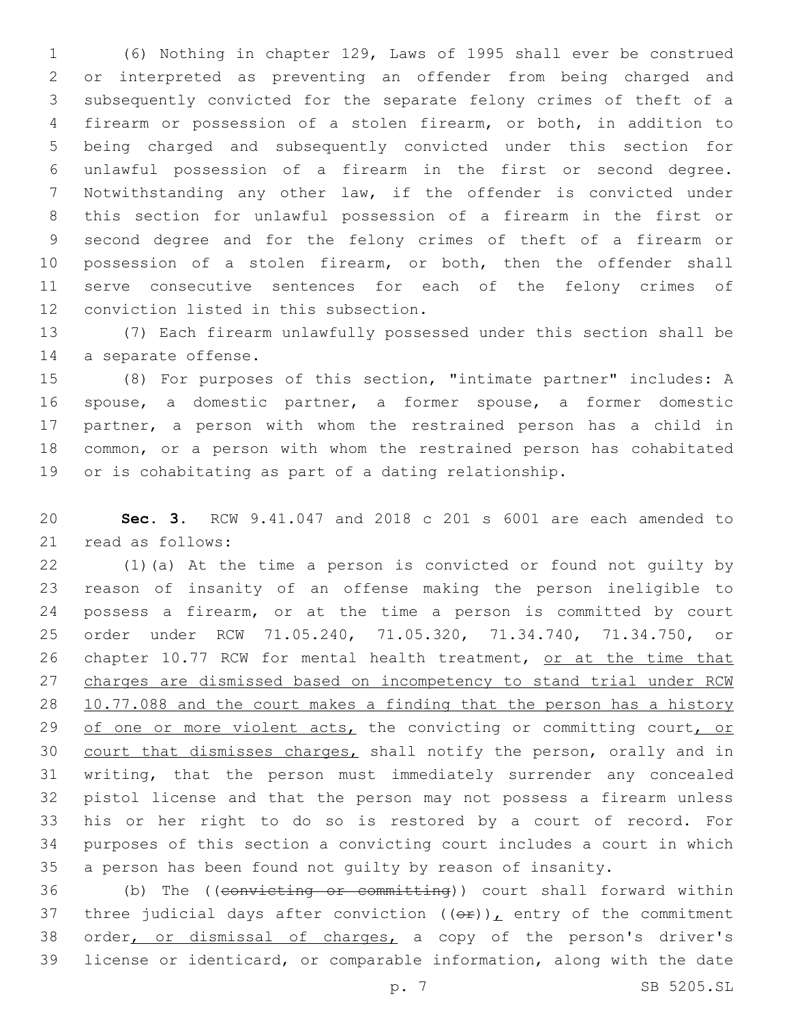(6) Nothing in chapter 129, Laws of 1995 shall ever be construed or interpreted as preventing an offender from being charged and subsequently convicted for the separate felony crimes of theft of a firearm or possession of a stolen firearm, or both, in addition to being charged and subsequently convicted under this section for unlawful possession of a firearm in the first or second degree. Notwithstanding any other law, if the offender is convicted under this section for unlawful possession of a firearm in the first or second degree and for the felony crimes of theft of a firearm or possession of a stolen firearm, or both, then the offender shall serve consecutive sentences for each of the felony crimes of 12 conviction listed in this subsection.

 (7) Each firearm unlawfully possessed under this section shall be 14 a separate offense.

 (8) For purposes of this section, "intimate partner" includes: A spouse, a domestic partner, a former spouse, a former domestic partner, a person with whom the restrained person has a child in common, or a person with whom the restrained person has cohabitated or is cohabitating as part of a dating relationship.

 **Sec. 3.** RCW 9.41.047 and 2018 c 201 s 6001 are each amended to 21 read as follows:

 (1)(a) At the time a person is convicted or found not guilty by reason of insanity of an offense making the person ineligible to possess a firearm, or at the time a person is committed by court order under RCW 71.05.240, 71.05.320, 71.34.740, 71.34.750, or 26 chapter 10.77 RCW for mental health treatment, or at the time that charges are dismissed based on incompetency to stand trial under RCW 10.77.088 and the court makes a finding that the person has a history 29 of one or more violent acts, the convicting or committing court, or court that dismisses charges, shall notify the person, orally and in writing, that the person must immediately surrender any concealed pistol license and that the person may not possess a firearm unless his or her right to do so is restored by a court of record. For purposes of this section a convicting court includes a court in which a person has been found not guilty by reason of insanity.

 (b) The ((convicting or committing)) court shall forward within 37 three judicial days after conviction  $((\theta \hat{r}))_L$  entry of the commitment 38 order, or dismissal of charges, a copy of the person's driver's license or identicard, or comparable information, along with the date

p. 7 SB 5205.SL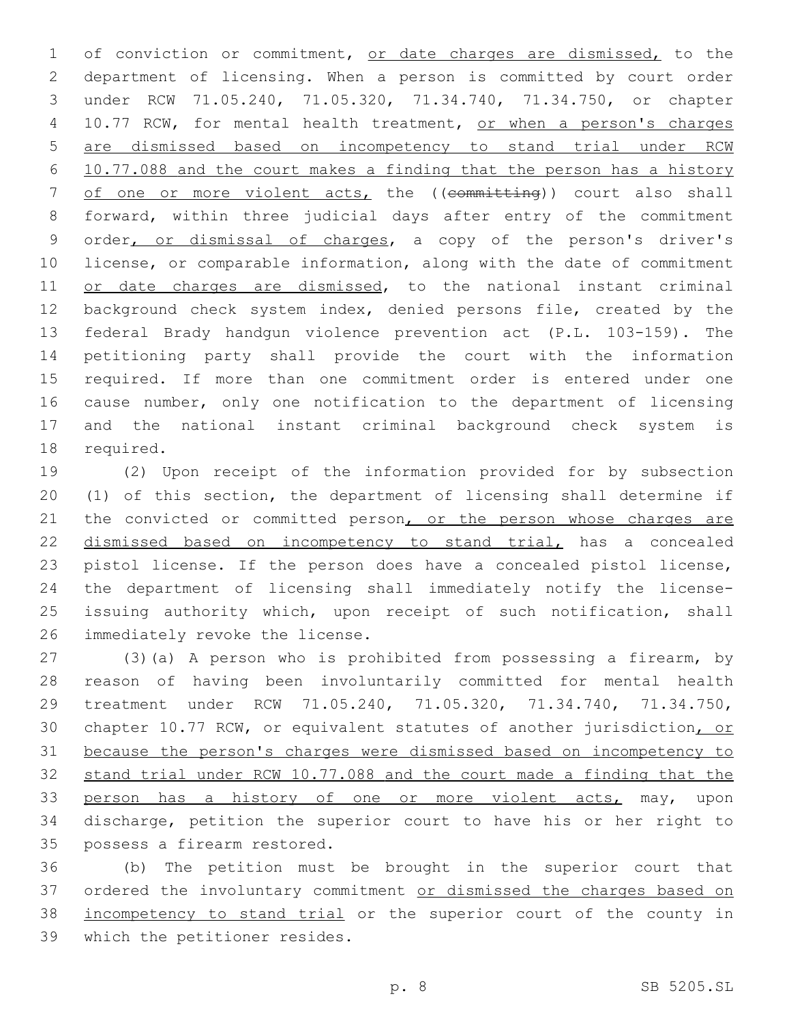1 of conviction or commitment, or date charges are dismissed, to the department of licensing. When a person is committed by court order under RCW 71.05.240, 71.05.320, 71.34.740, 71.34.750, or chapter 10.77 RCW, for mental health treatment, or when a person's charges are dismissed based on incompetency to stand trial under RCW 10.77.088 and the court makes a finding that the person has a history 7 of one or more violent acts, the ((committing)) court also shall forward, within three judicial days after entry of the commitment order, or dismissal of charges, a copy of the person's driver's license, or comparable information, along with the date of commitment 11 or date charges are dismissed, to the national instant criminal background check system index, denied persons file, created by the federal Brady handgun violence prevention act (P.L. 103-159). The petitioning party shall provide the court with the information required. If more than one commitment order is entered under one cause number, only one notification to the department of licensing and the national instant criminal background check system is 18 required.

 (2) Upon receipt of the information provided for by subsection (1) of this section, the department of licensing shall determine if 21 the convicted or committed person, or the person whose charges are 22 dismissed based on incompetency to stand trial, has a concealed pistol license. If the person does have a concealed pistol license, the department of licensing shall immediately notify the license- issuing authority which, upon receipt of such notification, shall 26 immediately revoke the license.

 (3)(a) A person who is prohibited from possessing a firearm, by reason of having been involuntarily committed for mental health treatment under RCW 71.05.240, 71.05.320, 71.34.740, 71.34.750, chapter 10.77 RCW, or equivalent statutes of another jurisdiction, or because the person's charges were dismissed based on incompetency to stand trial under RCW 10.77.088 and the court made a finding that the 33 person has a history of one or more violent acts, may, upon discharge, petition the superior court to have his or her right to 35 possess a firearm restored.

 (b) The petition must be brought in the superior court that 37 ordered the involuntary commitment or dismissed the charges based on incompetency to stand trial or the superior court of the county in 39 which the petitioner resides.